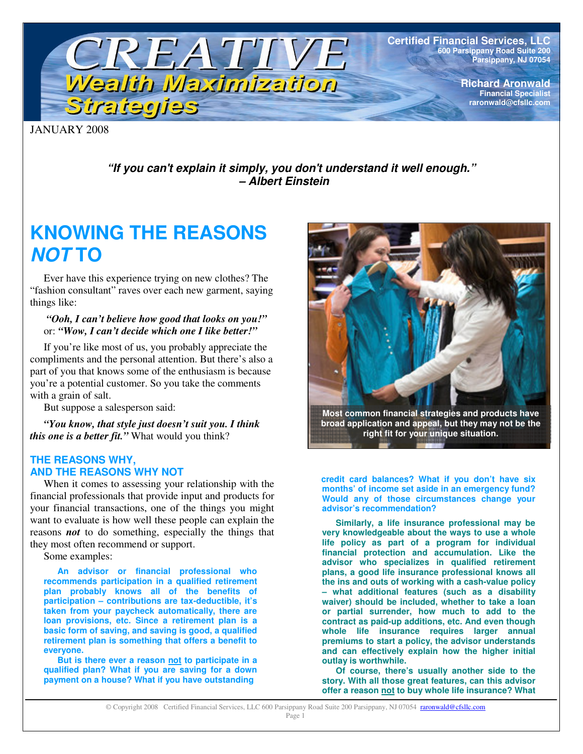

**Certified Financial Services, LLC 600 Parsippany Road Suite 200 Parsippany, NJ 07054**

> **Richard Aronwald Financial Specialist raronwald@cfsllc.com**

JANUARY 2008

*"If you can't explain it simply, you don't understand it well enough." – Albert Einstein*

# **KNOWING THE REASONS** *NOT* **TO**

Ever have this experience trying on new clothes? The "fashion consultant" raves over each new garment, saying things like:

### *"Ooh, I can't believe how good that looks on you!"* or: *"Wow, I can't decide which one I like better!"*

If you're like most of us, you probably appreciate the compliments and the personal attention. But there's also a part of you that knows some of the enthusiasm is because you're a potential customer. So you take the comments with a grain of salt.

But suppose a salesperson said:

*"You know, that style just doesn't suit you. I think this one is a better fit."* What would you think?

## **THE REASONS WHY, AND THE REASONS WHY NOT**

When it comes to assessing your relationship with the financial professionals that provide input and products for your financial transactions, one of the things you might want to evaluate is how well these people can explain the reasons *not* to do something, especially the things that they most often recommend or support.

Some examples:

**An advisor or financial professional who recommends participation in a qualified retirement plan probably knows all of the benefits of participation – contributions are tax-deductible, it's taken from your paycheck automatically, there are loan provisions, etc. Since a retirement plan is a basic form of saving, and saving is good, a qualified retirement plan is something that offers a benefit to everyone.**

**But is there ever a reason not to participate in a qualified plan? What if you are saving for a down payment on a house? What if you have outstanding**



**Most common financial strategies and products have broad application and appeal, but they may not be the right fit for your unique situation.**

**credit card balances? What if you don't have six months' of income set aside in an emergency fund? Would any of those circumstances change your advisor's recommendation?**

**Similarly, a life insurance professional may be very knowledgeable about the ways to use a whole life policy as part of a program for individual financial protection and accumulation. Like the advisor who specializes in qualified retirement plans, a good life insurance professional knows all the ins and outs of working with a cash-value policy – what additional features (such as a disability waiver) should be included, whether to take a loan or partial surrender, how much to add to the contract as paid-up additions, etc. And even though whole life insurance requires larger annual premiums to start a policy, the advisor understands and can effectively explain how the higher initial outlay is worthwhile.**

**Of course, there's usually another side to the story. With all those great features, can this advisor offer a reason not to buy whole life insurance? What**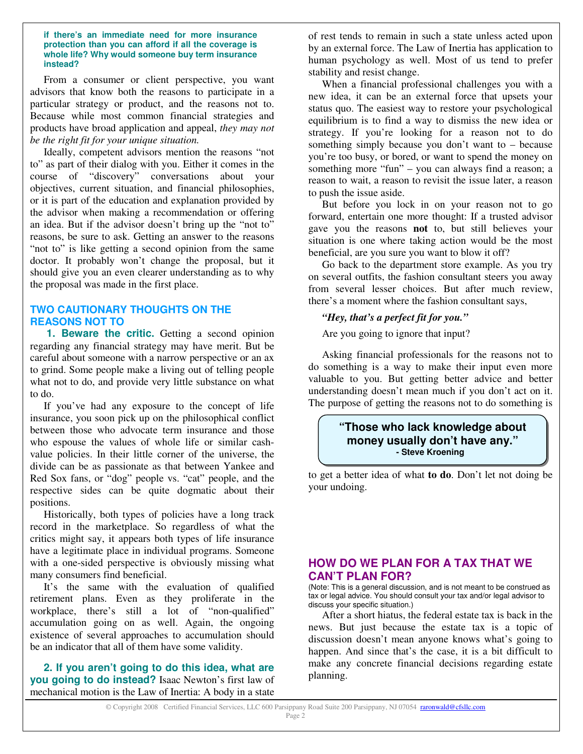#### **if there's an immediate need for more insurance protection than you can afford if all the coverage is whole life? Why would someone buy term insurance instead?**

From a consumer or client perspective, you want advisors that know both the reasons to participate in a particular strategy or product, and the reasons not to. Because while most common financial strategies and products have broad application and appeal, *they may not be the right fit for your unique situation.*

Ideally, competent advisors mention the reasons "not to" as part of their dialog with you. Either it comes in the course of "discovery" conversations about your objectives, current situation, and financial philosophies, or it is part of the education and explanation provided by the advisor when making a recommendation or offering an idea. But if the advisor doesn't bring up the "not to" reasons, be sure to ask. Getting an answer to the reasons "not to" is like getting a second opinion from the same doctor. It probably won't change the proposal, but it should give you an even clearer understanding as to why the proposal was made in the first place.

# **TWO CAUTIONARY THOUGHTS ON THE REASONS NOT TO**

**1. Beware the critic.** Getting a second opinion regarding any financial strategy may have merit. But be careful about someone with a narrow perspective or an ax to grind. Some people make a living out of telling people what not to do, and provide very little substance on what to do.

If you've had any exposure to the concept of life insurance, you soon pick up on the philosophical conflict between those who advocate term insurance and those who espouse the values of whole life or similar cashvalue policies. In their little corner of the universe, the divide can be as passionate as that between Yankee and Red Sox fans, or "dog" people vs. "cat" people, and the respective sides can be quite dogmatic about their positions.

Historically, both types of policies have a long track record in the marketplace. So regardless of what the critics might say, it appears both types of life insurance have a legitimate place in individual programs. Someone with a one-sided perspective is obviously missing what many consumers find beneficial.

It's the same with the evaluation of qualified retirement plans. Even as they proliferate in the workplace, there's still a lot of "non-qualified" accumulation going on as well. Again, the ongoing existence of several approaches to accumulation should be an indicator that all of them have some validity.

**2. If you aren't going to do this idea, what are you going to do instead?** Isaac Newton's first law of mechanical motion is the Law of Inertia: A body in a state

of rest tends to remain in such a state unless acted upon by an external force. The Law of Inertia has application to human psychology as well. Most of us tend to prefer stability and resist change.

When a financial professional challenges you with a new idea, it can be an external force that upsets your status quo. The easiest way to restore your psychological equilibrium is to find a way to dismiss the new idea or strategy. If you're looking for a reason not to do something simply because you don't want to – because you're too busy, or bored, or want to spend the money on something more "fun" – you can always find a reason; a reason to wait, a reason to revisit the issue later, a reason to push the issue aside.

But before you lock in on your reason not to go forward, entertain one more thought: If a trusted advisor gave you the reasons **not** to, but still believes your situation is one where taking action would be the most beneficial, are you sure you want to blow it off?

Go back to the department store example. As you try on several outfits, the fashion consultant steers you away from several lesser choices. But after much review, there's a moment where the fashion consultant says,

## *"Hey, that's a perfect fit for you."*

Are you going to ignore that input?

Asking financial professionals for the reasons not to do something is a way to make their input even more valuable to you. But getting better advice and better understanding doesn't mean much if you don't act on it. The purpose of getting the reasons not to do something is

# **"Those who lack knowledge about money usually don't have any." - Steve Kroening**

to get a better idea of what **to do**. Don't let not doing be your undoing.

# **HOW DO WE PLAN FOR A TAX THAT WE CAN'T PLAN FOR?**

(Note: This is a general discussion, and is not meant to be construed as tax or legal advice. You should consult your tax and/or legal advisor to discuss your specific situation.)

After a short hiatus, the federal estate tax is back in the news. But just because the estate tax is a topic of discussion doesn't mean anyone knows what's going to happen. And since that's the case, it is a bit difficult to make any concrete financial decisions regarding estate planning.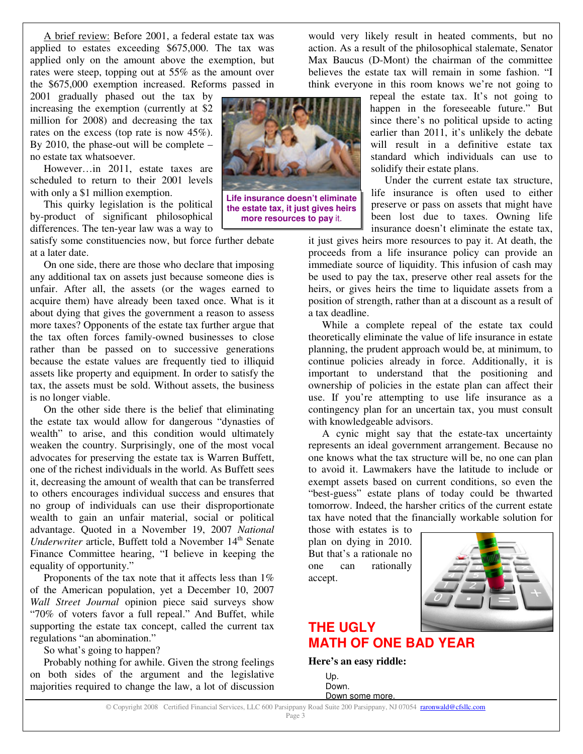A brief review: Before 2001, a federal estate tax was applied to estates exceeding \$675,000. The tax was applied only on the amount above the exemption, but rates were steep, topping out at 55% as the amount over the \$675,000 exemption increased. Reforms passed in

2001 gradually phased out the tax by increasing the exemption (currently at \$2 million for 2008) and decreasing the tax rates on the excess (top rate is now 45%). By 2010, the phase-out will be complete – no estate tax whatsoever.

However…in 2011, estate taxes are scheduled to return to their 2001 levels with only a \$1 million exemption.

This quirky legislation is the political by-product of significant philosophical differences. The ten-year law was a way to

satisfy some constituencies now, but force further debate at a later date.

On one side, there are those who declare that imposing any additional tax on assets just because someone dies is unfair. After all, the assets (or the wages earned to acquire them) have already been taxed once. What is it about dying that gives the government a reason to assess more taxes? Opponents of the estate tax further argue that the tax often forces family-owned businesses to close rather than be passed on to successive generations because the estate values are frequently tied to illiquid assets like property and equipment. In order to satisfy the tax, the assets must be sold. Without assets, the business is no longer viable.

On the other side there is the belief that eliminating the estate tax would allow for dangerous "dynasties of wealth" to arise, and this condition would ultimately weaken the country. Surprisingly, one of the most vocal advocates for preserving the estate tax is Warren Buffett, one of the richest individuals in the world. As Buffett sees it, decreasing the amount of wealth that can be transferred to others encourages individual success and ensures that no group of individuals can use their disproportionate wealth to gain an unfair material, social or political advantage. Quoted in a November 19, 2007 *National* Underwriter article, Buffett told a November 14<sup>th</sup> Senate Finance Committee hearing, "I believe in keeping the equality of opportunity."

Proponents of the tax note that it affects less than  $1\%$ of the American population, yet a December 10, 2007 *Wall Street Journal* opinion piece said surveys show "70% of voters favor a full repeal." And Buffet, while supporting the estate tax concept, called the current tax regulations "an abomination."

So what's going to happen?

Probably nothing for awhile. Given the strong feelings on both sides of the argument and the legislative majorities required to change the law, a lot of discussion

**Life insurance doesn't eliminate**

**the estate tax, it just gives heirs more resources to pay** it.

would very likely result in heated comments, but no action. As a result of the philosophical stalemate, Senator Max Baucus (D-Mont) the chairman of the committee believes the estate tax will remain in some fashion. "I think everyone in this room knows we're not going to

repeal the estate tax. It's not going to happen in the foreseeable future." But since there's no political upside to acting earlier than 2011, it's unlikely the debate will result in a definitive estate tax standard which individuals can use to solidify their estate plans.

Under the current estate tax structure, life insurance is often used to either preserve or pass on assets that might have been lost due to taxes. Owning life insurance doesn't eliminate the estate tax,

it just gives heirs more resources to pay it. At death, the proceeds from a life insurance policy can provide an immediate source of liquidity. This infusion of cash may be used to pay the tax, preserve other real assets for the heirs, or gives heirs the time to liquidate assets from a position of strength, rather than at a discount as a result of a tax deadline.

While a complete repeal of the estate tax could theoretically eliminate the value of life insurance in estate planning, the prudent approach would be, at minimum, to continue policies already in force. Additionally, it is important to understand that the positioning and ownership of policies in the estate plan can affect their use. If you're attempting to use life insurance as a contingency plan for an uncertain tax, you must consult with knowledgeable advisors.

A cynic might say that the estate-tax uncertainty represents an ideal government arrangement. Because no one knows what the tax structure will be, no one can plan to avoid it. Lawmakers have the latitude to include or exempt assets based on current conditions, so even the "best-guess" estate plans of today could be thwarted tomorrow. Indeed, the harsher critics of the current estate tax have noted that the financially workable solution for

those with estates is to plan on dying in 2010. But that's a rationale no one can rationally accept.



# **THE UGLY MATH OF ONE BAD YEAR**

**Here's an easy riddle:**

Up. Down. Down some more.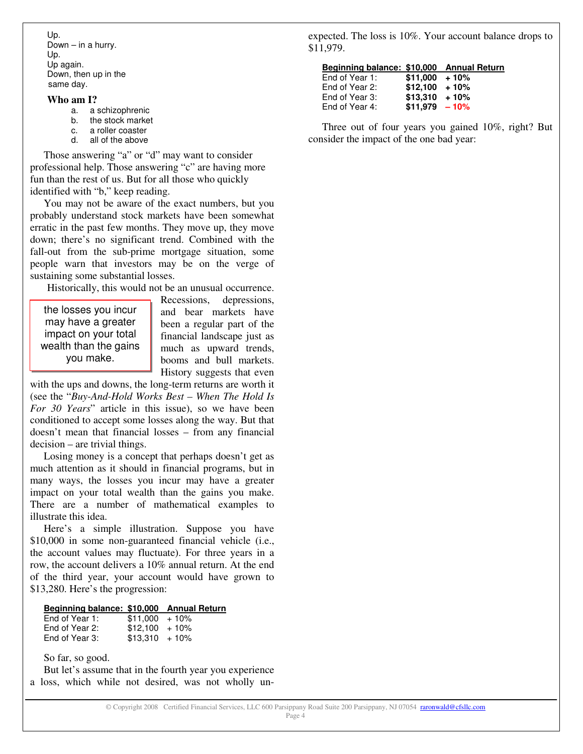Up. Down – in a hurry. Up. Up again. Down, then up in the same day.

### **Who am I?**

- a. a schizophrenic
- b. the stock market
- c. a roller coaster
- d. all of the above

Those answering "a" or "d" may want to consider professional help. Those answering "c" are having more fun than the rest of us. But for all those who quickly identified with "b," keep reading.

You may not be aware of the exact numbers, but you probably understand stock markets have been somewhat erratic in the past few months. They move up, they move down; there's no significant trend. Combined with the fall-out from the sub-prime mortgage situation, some people warn that investors may be on the verge of sustaining some substantial losses.

Historically, this would not be an unusual occurrence.

the losses you incur may have a greater impact on your total wealth than the gains you make.

Recessions, depressions, and bear markets have been a regular part of the financial landscape just as much as upward trends, booms and bull markets. History suggests that even

with the ups and downs, the long-term returns are worth it (see the "*Buy-And-Hold Works Best – When The Hold Is For 30 Years*" article in this issue), so we have been conditioned to accept some losses along the way. But that doesn't mean that financial losses – from any financial decision – are trivial things.

Losing money is a concept that perhaps doesn't get as much attention as it should in financial programs, but in many ways, the losses you incur may have a greater impact on your total wealth than the gains you make. There are a number of mathematical examples to illustrate this idea.

Here's a simple illustration. Suppose you have \$10,000 in some non-guaranteed financial vehicle (i.e., the account values may fluctuate). For three years in a row, the account delivers a 10% annual return. At the end of the third year, your account would have grown to \$13,280. Here's the progression:

### **Beginning balance: \$10,000 Annual Return**

| End of Year 1: | $$11,000 + 10\%$ |  |
|----------------|------------------|--|
| End of Year 2: | $$12,100 + 10\%$ |  |
| End of Year 3: | $$13,310 + 10\%$ |  |

So far, so good.

But let's assume that in the fourth year you experience a loss, which while not desired, was not wholly un-

expected. The loss is 10%. Your account balance drops to \$11,979.

| Beginning balance: \$10,000 Annual Return |                  |  |
|-------------------------------------------|------------------|--|
| End of Year 1:                            | $$11,000 + 10\%$ |  |
| End of Year 2:                            | $$12,100 + 10\%$ |  |

| End of Year 2: | $$12,100 + 10\%$ |  |
|----------------|------------------|--|
| End of Year 3: | $$13,310 + 10\%$ |  |
| End of Year 4: | $$11,979 - 10\%$ |  |

Three out of four years you gained 10%, right? But consider the impact of the one bad year: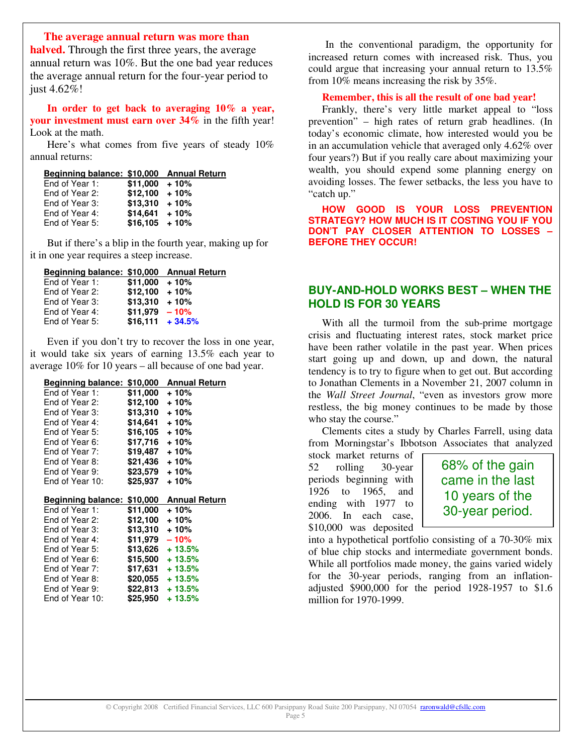### **The average annual return was more than**

**halved.** Through the first three years, the average annual return was 10%. But the one bad year reduces the average annual return for the four-year period to just 4.62%!

**In order to get back to averaging 10% a year, your investment must earn over 34%** in the fifth year! Look at the math.

Here's what comes from five years of steady 10% annual returns:

|  |  |  |  | Beginning balance: \$10,000 Annual Return |
|--|--|--|--|-------------------------------------------|
|--|--|--|--|-------------------------------------------|

| $$11,000 + 10\%$ |        |
|------------------|--------|
| $$12,100 + 10\%$ |        |
| $$13.310 + 10\%$ |        |
| \$14,641         | $+10%$ |
| $$16.105 + 10\%$ |        |
|                  |        |

But if there's a blip in the fourth year, making up for it in one year requires a steep increase.

### **Beginning balance: \$10,000 Annual Return**

| End of Year 1: | $$11,000 + 10\%$ |                    |
|----------------|------------------|--------------------|
| End of Year 2: | $$12,100 + 10\%$ |                    |
| End of Year 3: | $$13.310 + 10\%$ |                    |
| End of Year 4: | $$11.979 - 10\%$ |                    |
| End of Year 5: |                  | $$16,111 + 34.5\%$ |
|                |                  |                    |

Even if you don't try to recover the loss in one year, it would take six years of earning 13.5% each year to average 10% for 10 years – all because of one bad year.

| Beginning balance: \$10,000       |          | <b>Annual Return</b>          |
|-----------------------------------|----------|-------------------------------|
| End of Year 1:                    | \$11,000 | + 10%                         |
| End of Year 2:                    | \$12,100 | $+10%$                        |
| End of Year 3:                    | \$13,310 | $+10%$                        |
| End of Year 4:                    | \$14,641 | + 10%                         |
| End of Year 5:                    | \$16,105 | + 10%                         |
| End of Year 6:                    | \$17,716 | + 10%                         |
| End of Year 7:                    | \$19,487 | + 10%                         |
| End of Year 8:                    | \$21.436 | $+10%$                        |
| End of Year 9:                    | \$23.579 | $+10%$                        |
| End of Year 10:                   | \$25,937 | + 10%                         |
|                                   |          |                               |
|                                   |          |                               |
| Beginning balance: \$10,000       |          | <b>Annual Return</b>          |
| End of Year 1:                    | \$11.000 | + 10%                         |
| End of Year 2:                    | \$12,100 | + 10%                         |
| End of Year 3:                    | \$13,310 | $+10%$                        |
| End of Year 4:                    | \$11,979 | $-10%$                        |
| End of Year 5:                    | \$13,626 | $+13.5%$                      |
| End of Year 6:                    | \$15,500 | $+13.5%$                      |
| End of Year 7:                    | \$17,631 | $+13.5%$                      |
| End of Year 8:                    | \$20.055 | $+13.5%$                      |
| End of Year 9:<br>End of Year 10: | \$25,950 | $$22.813 + 13.5\%$<br>+ 13.5% |

In the conventional paradigm, the opportunity for increased return comes with increased risk. Thus, you could argue that increasing your annual return to 13.5% from 10% means increasing the risk by 35%.

### **Remember, this is all the result of one bad year!**

Frankly, there's very little market appeal to "loss prevention" – high rates of return grab headlines. (In today's economic climate, how interested would you be in an accumulation vehicle that averaged only 4.62% over four years?) But if you really care about maximizing your wealth, you should expend some planning energy on avoiding losses. The fewer setbacks, the less you have to "catch up."

**HOW GOOD IS YOUR LOSS PREVENTION STRATEGY? HOW MUCH IS IT COSTING YOU IF YOU DON'T PAY CLOSER ATTENTION TO LOSSES – BEFORE THEY OCCUR!**

# **BUY-AND-HOLD WORKS BEST – WHEN THE HOLD IS FOR 30 YEARS**

With all the turmoil from the sub-prime mortgage crisis and fluctuating interest rates, stock market price have been rather volatile in the past year. When prices start going up and down, up and down, the natural tendency is to try to figure when to get out. But according to Jonathan Clements in a November 21, 2007 column in the *Wall Street Journal*, "even as investors grow more restless, the big money continues to be made by those who stay the course."

Clements cites a study by Charles Farrell, using data from Morningstar's Ibbotson Associates that analyzed

stock market returns of 52 rolling 30-year periods beginning with 1926 to 1965, and ending with 1977 to 2006. In each case, \$10,000 was deposited

68% of the gain came in the last 10 years of the 30-year period.

into a hypothetical portfolio consisting of a 70-30% mix of blue chip stocks and intermediate government bonds. While all portfolios made money, the gains varied widely for the 30-year periods, ranging from an inflationadjusted \$900,000 for the period 1928-1957 to \$1.6 million for 1970-1999.

Page 5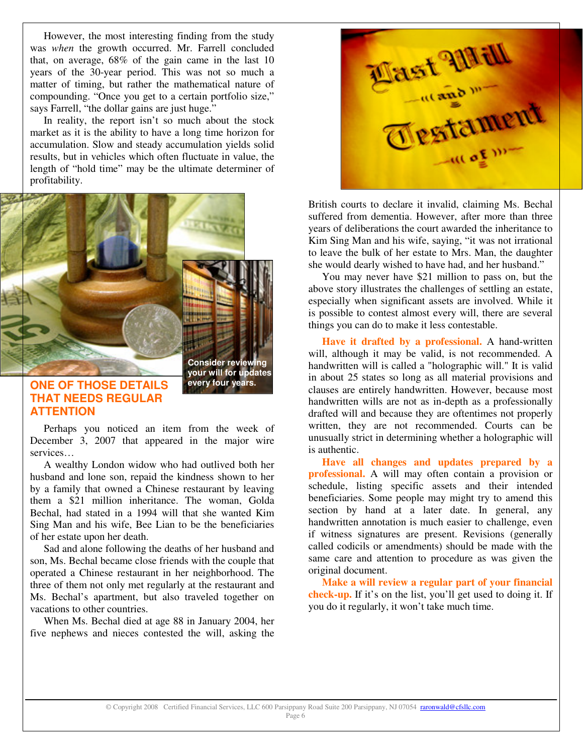However, the most interesting finding from the study was *when* the growth occurred. Mr. Farrell concluded that, on average, 68% of the gain came in the last 10 years of the 30-year period. This was not so much a matter of timing, but rather the mathematical nature of compounding. "Once you get to a certain portfolio size," says Farrell, "the dollar gains are just huge."

In reality, the report isn't so much about the stock market as it is the ability to have a long time horizon for accumulation. Slow and steady accumulation yields solid results, but in vehicles which often fluctuate in value, the length of "hold time" may be the ultimate determiner of profitability.



# **THAT NEEDS REGULAR ATTENTION**

Perhaps you noticed an item from the week of December 3, 2007 that appeared in the major wire services…

A wealthy London widow who had outlived both her husband and lone son, repaid the kindness shown to her by a family that owned a Chinese restaurant by leaving them a \$21 million inheritance. The woman, Golda Bechal, had stated in a 1994 will that she wanted Kim Sing Man and his wife, Bee Lian to be the beneficiaries of her estate upon her death.

Sad and alone following the deaths of her husband and son, Ms. Bechal became close friends with the couple that operated a Chinese restaurant in her neighborhood. The three of them not only met regularly at the restaurant and Ms. Bechal's apartment, but also traveled together on vacations to other countries.

When Ms. Bechal died at age 88 in January 2004, her five nephews and nieces contested the will, asking the



British courts to declare it invalid, claiming Ms. Bechal suffered from dementia. However, after more than three years of deliberations the court awarded the inheritance to Kim Sing Man and his wife, saying, "it was not irrational to leave the bulk of her estate to Mrs. Man, the daughter she would dearly wished to have had, and her husband."

You may never have \$21 million to pass on, but the above story illustrates the challenges of settling an estate, especially when significant assets are involved. While it is possible to contest almost every will, there are several things you can do to make it less contestable.

**Have it drafted by a professional.** A hand-written will, although it may be valid, is not recommended. A handwritten will is called a "holographic will." It is valid in about 25 states so long as all material provisions and clauses are entirely handwritten. However, because most handwritten wills are not as in-depth as a professionally drafted will and because they are oftentimes not properly written, they are not recommended. Courts can be unusually strict in determining whether a holographic will is authentic.

**Have all changes and updates prepared by a professional.** A will may often contain a provision or schedule, listing specific assets and their intended beneficiaries. Some people may might try to amend this section by hand at a later date. In general, any handwritten annotation is much easier to challenge, even if witness signatures are present. Revisions (generally called codicils or amendments) should be made with the same care and attention to procedure as was given the original document.

**Make a will review a regular part of your financial check-up.** If it's on the list, you'll get used to doing it. If you do it regularly, it won't take much time.